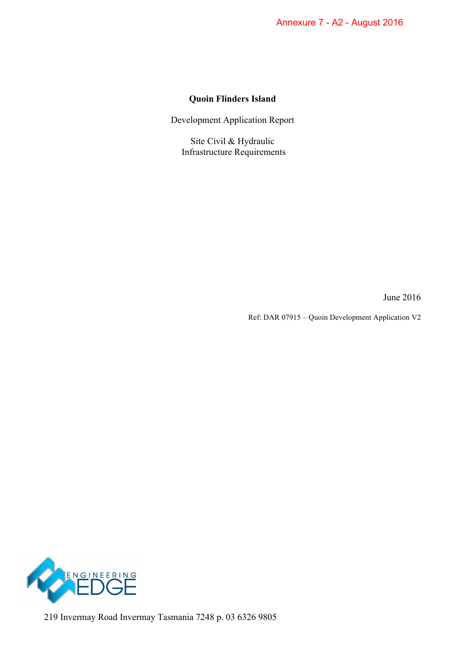# **Quoin Flinders Island**

Development Application Report

Site Civil & Hydraulic Infrastructure Requirements

June 2016

Ref: DAR 07915 – Quoin Development Application V2



219 Invermay Road Invermay Tasmania 7248 p. 03 6326 9805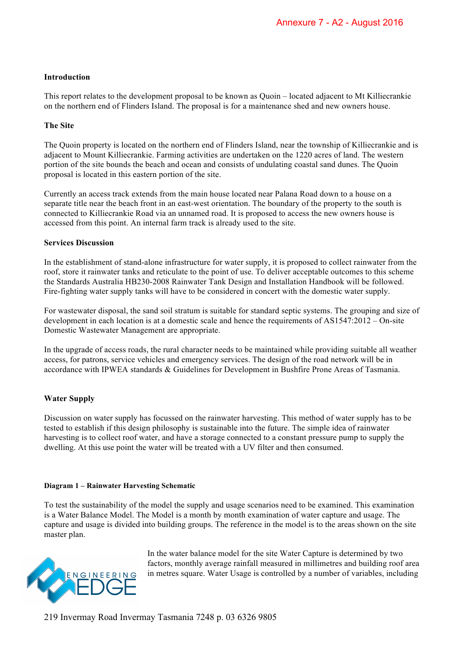## **Introduction**

This report relates to the development proposal to be known as Quoin – located adjacent to Mt Killiecrankie on the northern end of Flinders Island. The proposal is for a maintenance shed and new owners house.

### **The Site**

The Quoin property is located on the northern end of Flinders Island, near the township of Killiecrankie and is adjacent to Mount Killiecrankie. Farming activities are undertaken on the 1220 acres of land. The western portion of the site bounds the beach and ocean and consists of undulating coastal sand dunes. The Quoin proposal is located in this eastern portion of the site.

Currently an access track extends from the main house located near Palana Road down to a house on a separate title near the beach front in an east-west orientation. The boundary of the property to the south is connected to Killiecrankie Road via an unnamed road. It is proposed to access the new owners house is accessed from this point. An internal farm track is already used to the site.

### **Services Discussion**

In the establishment of stand-alone infrastructure for water supply, it is proposed to collect rainwater from the roof, store it rainwater tanks and reticulate to the point of use. To deliver acceptable outcomes to this scheme the Standards Australia HB230-2008 Rainwater Tank Design and Installation Handbook will be followed. Fire-fighting water supply tanks will have to be considered in concert with the domestic water supply.

For wastewater disposal, the sand soil stratum is suitable for standard septic systems. The grouping and size of development in each location is at a domestic scale and hence the requirements of AS1547:2012 – On-site Domestic Wastewater Management are appropriate.

In the upgrade of access roads, the rural character needs to be maintained while providing suitable all weather access, for patrons, service vehicles and emergency services. The design of the road network will be in accordance with IPWEA standards & Guidelines for Development in Bushfire Prone Areas of Tasmania.

### **Water Supply**

Discussion on water supply has focussed on the rainwater harvesting. This method of water supply has to be tested to establish if this design philosophy is sustainable into the future. The simple idea of rainwater harvesting is to collect roof water, and have a storage connected to a constant pressure pump to supply the dwelling. At this use point the water will be treated with a UV filter and then consumed.

### **Diagram 1 – Rainwater Harvesting Schematic**

To test the sustainability of the model the supply and usage scenarios need to be examined. This examination is a Water Balance Model. The Model is a month by month examination of water capture and usage. The capture and usage is divided into building groups. The reference in the model is to the areas shown on the site master plan.



In the water balance model for the site Water Capture is determined by two factors, monthly average rainfall measured in millimetres and building roof area in metres square. Water Usage is controlled by a number of variables, including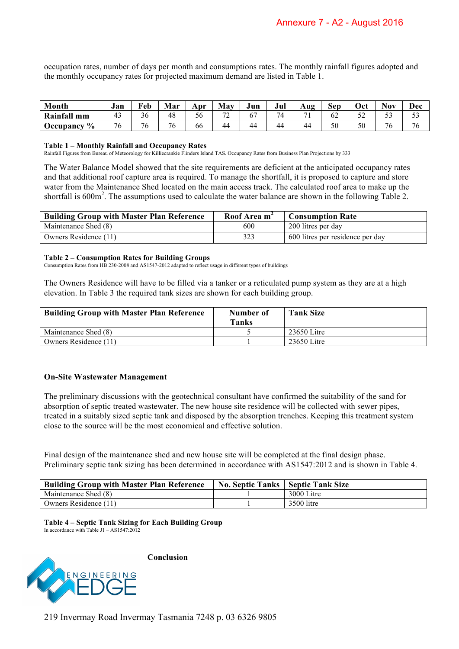occupation rates, number of days per month and consumptions rates. The monthly rainfall figures adopted and the monthly occupancy rates for projected maximum demand are listed in Table 1.

| Month                      | Jan | <b>Feb</b>   | Mar          | Apr | May                 | Jun | Jul | Aug  | Sep | Jct          | <b>Nov</b>               | Dec          |
|----------------------------|-----|--------------|--------------|-----|---------------------|-----|-----|------|-----|--------------|--------------------------|--------------|
| Rainfall mm                |     | 30           | 48           | 56  | $\overline{ }$<br>∼ | 6   | 4   | $-1$ | OΖ  | $\sim$<br>◡▵ | - -<br>ັ້                | $\sim$<br>ັ  |
| $\frac{6}{6}$<br>Occupancy | 76  | $\sim$<br>′б | $\sim$<br>'∪ | 66  | 44                  | 44  | 44  | 44   | 50  | 50           | $\overline{\phantom{a}}$ | $\sim$<br>'6 |

#### **Table 1 – Monthly Rainfall and Occupancy Rates**

Rainfall Figures from Bureau of Meteorology for Killiecrankie Flinders Island TAS. Occupancy Rates from Business Plan Projections by 333

The Water Balance Model showed that the site requirements are deficient at the anticipated occupancy rates and that additional roof capture area is required. To manage the shortfall, it is proposed to capture and store water from the Maintenance Shed located on the main access track. The calculated roof area to make up the shortfall is  $600m^2$ . The assumptions used to calculate the water balance are shown in the following Table 2.

| <b>Building Group with Master Plan Reference</b> | Roof Area m <sup>2</sup> | <b>Consumption Rate</b>          |
|--------------------------------------------------|--------------------------|----------------------------------|
| Maintenance Shed (8)                             | 600                      | 200 litres per day               |
| Owners Residence (11)                            | 323                      | 600 litres per residence per day |

#### **Table 2 – Consumption Rates for Building Groups**

Consumption Rates from HB 230-2008 and AS1547-2012 adapted to reflect usage in different types of buildings

The Owners Residence will have to be filled via a tanker or a reticulated pump system as they are at a high elevation. In Table 3 the required tank sizes are shown for each building group.

| <b>Building Group with Master Plan Reference</b> | Number of<br>Tanks | <b>Tank Size</b> |
|--------------------------------------------------|--------------------|------------------|
| Maintenance Shed (8)                             |                    | 23650 Litre      |
| Owners Residence (11)                            |                    | 23650 Litre      |

### **On-Site Wastewater Management**

The preliminary discussions with the geotechnical consultant have confirmed the suitability of the sand for absorption of septic treated wastewater. The new house site residence will be collected with sewer pipes, treated in a suitably sized septic tank and disposed by the absorption trenches. Keeping this treatment system close to the source will be the most economical and effective solution.

Final design of the maintenance shed and new house site will be completed at the final design phase. Preliminary septic tank sizing has been determined in accordance with AS1547:2012 and is shown in Table 4.

| <b>Building Group with Master Plan Reference</b> | <b>No. Septic Tanks   Septic Tank Size</b> |            |
|--------------------------------------------------|--------------------------------------------|------------|
| Maintenance Shed (8)                             |                                            | 3000 Litre |
| Owners Residence (11)                            |                                            | 3500 litre |

#### **Table 4 – Septic Tank Sizing for Each Building Group** In accordance with Table J1 – AS1547:2012



**Conclusion**

219 Invermay Road Invermay Tasmania 7248 p. 03 6326 9805